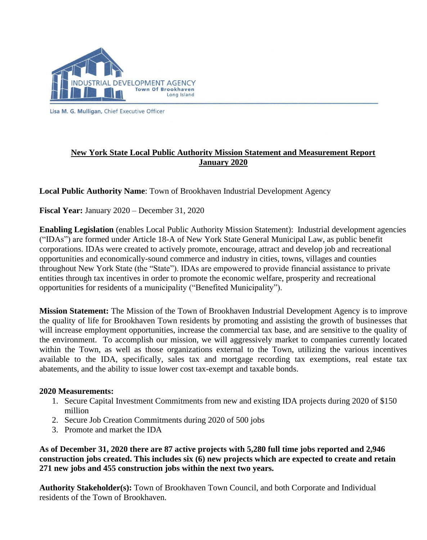

Lisa M. G. Mulligan, Chief Executive Officer

## **New York State Local Public Authority Mission Statement and Measurement Report January 2020**

**Local Public Authority Name**: Town of Brookhaven Industrial Development Agency

**Fiscal Year:** January 2020 – December 31, 2020

**Enabling Legislation** (enables Local Public Authority Mission Statement): Industrial development agencies ("IDAs") are formed under Article 18-A of New York State General Municipal Law, as public benefit corporations. IDAs were created to actively promote, encourage, attract and develop job and recreational opportunities and economically-sound commerce and industry in cities, towns, villages and counties throughout New York State (the "State"). IDAs are empowered to provide financial assistance to private entities through tax incentives in order to promote the economic welfare, prosperity and recreational opportunities for residents of a municipality ("Benefited Municipality").

**Mission Statement:** The Mission of the Town of Brookhaven Industrial Development Agency is to improve the quality of life for Brookhaven Town residents by promoting and assisting the growth of businesses that will increase employment opportunities, increase the commercial tax base, and are sensitive to the quality of the environment. To accomplish our mission, we will aggressively market to companies currently located within the Town, as well as those organizations external to the Town, utilizing the various incentives available to the IDA, specifically, sales tax and mortgage recording tax exemptions, real estate tax abatements, and the ability to issue lower cost tax-exempt and taxable bonds.

## **2020 Measurements:**

- 1. Secure Capital Investment Commitments from new and existing IDA projects during 2020 of \$150 million
- 2. Secure Job Creation Commitments during 2020 of 500 jobs
- 3. Promote and market the IDA

**As of December 31, 2020 there are 87 active projects with 5,280 full time jobs reported and 2,946 construction jobs created. This includes six (6) new projects which are expected to create and retain 271 new jobs and 455 construction jobs within the next two years.** 

**Authority Stakeholder(s):** Town of Brookhaven Town Council, and both Corporate and Individual residents of the Town of Brookhaven.